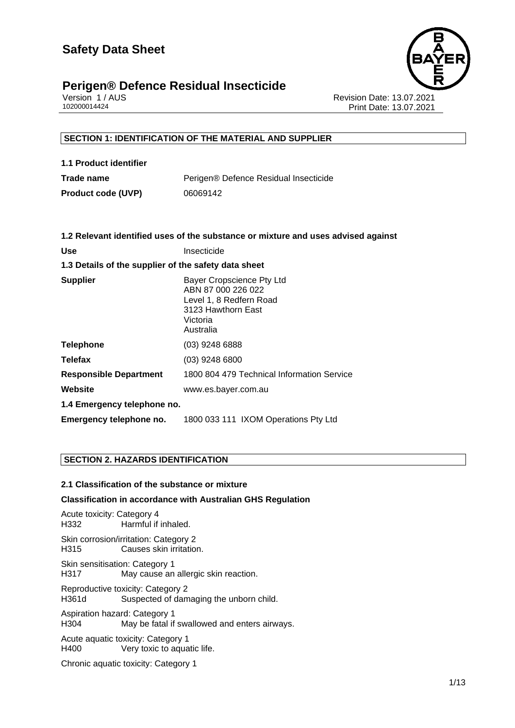

Version 1 / AUS Revision Date: 13.07.2021 Print Date: 13.07.2021

# **SECTION 1: IDENTIFICATION OF THE MATERIAL AND SUPPLIER**

| 1.1 Product identifier    |                                       |
|---------------------------|---------------------------------------|
| Trade name                | Perigen® Defence Residual Insecticide |
| <b>Product code (UVP)</b> | 06069142                              |

|                                                      | 1.2 Relevant identified uses of the substance or mixture and uses advised against                                         |
|------------------------------------------------------|---------------------------------------------------------------------------------------------------------------------------|
| <b>Use</b>                                           | Insecticide                                                                                                               |
| 1.3 Details of the supplier of the safety data sheet |                                                                                                                           |
| <b>Supplier</b>                                      | Bayer Cropscience Pty Ltd<br>ABN 87 000 226 022<br>Level 1, 8 Redfern Road<br>3123 Hawthorn East<br>Victoria<br>Australia |
| <b>Telephone</b>                                     | $(03)$ 9248 6888                                                                                                          |
| <b>Telefax</b>                                       | $(03)$ 9248 6800                                                                                                          |
| <b>Responsible Department</b>                        | 1800 804 479 Technical Information Service                                                                                |
| Website                                              | www.es.bayer.com.au                                                                                                       |
| 1.4 Emergency telephone no.                          |                                                                                                                           |
| Emergency telephone no.                              | 1800 033 111 IXOM Operations Pty Ltd                                                                                      |

# **SECTION 2. HAZARDS IDENTIFICATION**

# **2.1 Classification of the substance or mixture**

### **Classification in accordance with Australian GHS Regulation**

Acute toxicity: Category 4 H332 Harmful if inhaled. Skin corrosion/irritation: Category 2 H315 Causes skin irritation. Skin sensitisation: Category 1 H317 May cause an allergic skin reaction. Reproductive toxicity: Category 2 H361d Suspected of damaging the unborn child. Aspiration hazard: Category 1 H304 May be fatal if swallowed and enters airways. Acute aquatic toxicity: Category 1<br>H400 Very toxic to aqua Very toxic to aquatic life.

Chronic aquatic toxicity: Category 1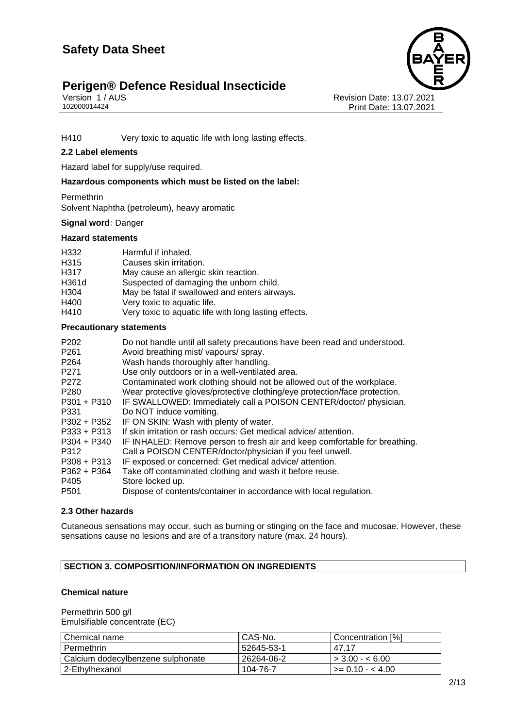

Version 1 / AUS<br>102000014424<br>Print Date: 13.07.2021<br>Print Date: 13.07.2021 Print Date: 13.07.2021

H410 Very toxic to aquatic life with long lasting effects.

## **2.2 Label elements**

Hazard label for supply/use required.

**Hazardous components which must be listed on the label:**

• Permethrin • Solvent Naphtha (petroleum), heavy aromatic

# **Signal word:** Danger

#### **Hazard statements**

| H332  | Harmful if inhaled.                                   |
|-------|-------------------------------------------------------|
| H315  | Causes skin irritation.                               |
| H317  | May cause an allergic skin reaction.                  |
| H361d | Suspected of damaging the unborn child.               |
| H304  | May be fatal if swallowed and enters airways.         |
| H400  | Very toxic to aquatic life.                           |
| H410  | Very toxic to aquatic life with long lasting effects. |

### **Precautionary statements**

| P <sub>202</sub> | Do not handle until all safety precautions have been read and understood.  |
|------------------|----------------------------------------------------------------------------|
| P <sub>261</sub> | Avoid breathing mist/vapours/spray.                                        |
| P <sub>264</sub> | Wash hands thoroughly after handling.                                      |
| P <sub>271</sub> | Use only outdoors or in a well-ventilated area.                            |
| P272             | Contaminated work clothing should not be allowed out of the workplace.     |
| P <sub>280</sub> | Wear protective gloves/protective clothing/eye protection/face protection. |
| $P301 + P310$    | IF SWALLOWED: Immediately call a POISON CENTER/doctor/ physician.          |
| P331             | Do NOT induce vomiting.                                                    |
| P302 + P352      | IF ON SKIN: Wash with plenty of water.                                     |
| $P333 + P313$    | If skin irritation or rash occurs: Get medical advice/attention.           |
| $P304 + P340$    | IF INHALED: Remove person to fresh air and keep comfortable for breathing. |
| P312             | Call a POISON CENTER/doctor/physician if you feel unwell.                  |
| $P308 + P313$    | IF exposed or concerned: Get medical advice/attention.                     |
| $P362 + P364$    | Take off contaminated clothing and wash it before reuse.                   |
| P405             | Store locked up.                                                           |
| P <sub>501</sub> | Dispose of contents/container in accordance with local regulation.         |

## **2.3 Other hazards**

Cutaneous sensations may occur, such as burning or stinging on the face and mucosae. However, these sensations cause no lesions and are of a transitory nature (max. 24 hours).

# **SECTION 3. COMPOSITION/INFORMATION ON INGREDIENTS**

### **Chemical nature**

Permethrin 500 g/l Emulsifiable concentrate (EC)

| I Chemical name                   | CAS-No.    | Concentration [%]        |
|-----------------------------------|------------|--------------------------|
| Permethrin                        | 52645-53-1 | 47 17                    |
| Calcium dodecylbenzene sulphonate | 26264-06-2 | $\vert$ > 3.00 - < 6.00  |
| 2-Ethylhexanol                    | 104-76-7   | $\vert$ >= 0.10 - < 4.00 |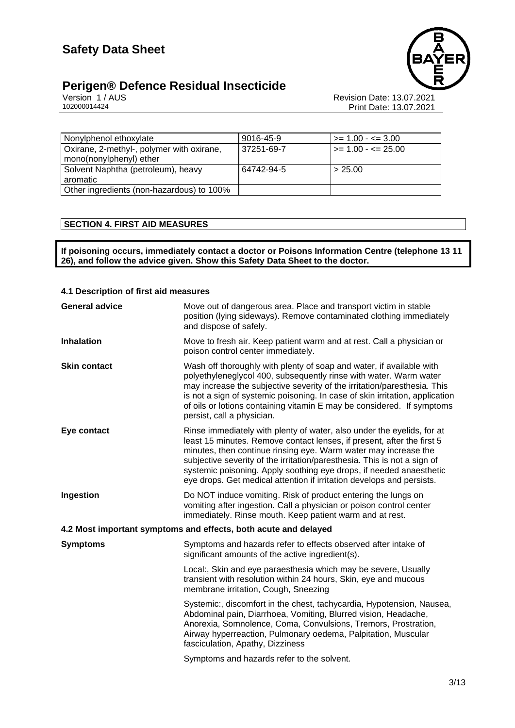

# **Perigen® Defence Residual Insecticide 3/13**

Version 1 / AUS Revision Date: 13.07.2021 102000014424 Print Date: 13.07.2021

| Nonylphenol ethoxylate                    | 9016-45-9  | $\ge$ = 1.00 - $\le$ = 3.00  |
|-------------------------------------------|------------|------------------------------|
| Oxirane, 2-methyl-, polymer with oxirane, | 37251-69-7 | $\ge$ = 1.00 - $\le$ = 25.00 |
| mono(nonylphenyl) ether                   |            |                              |
| Solvent Naphtha (petroleum), heavy        | 64742-94-5 | > 25.00                      |
| aromatic                                  |            |                              |
| Other ingredients (non-hazardous) to 100% |            |                              |

# **SECTION 4. FIRST AID MEASURES**

**If poisoning occurs, immediately contact a doctor or Poisons Information Centre (telephone 13 11 26), and follow the advice given. Show this Safety Data Sheet to the doctor.**

## **4.1 Description of first aid measures**

| <b>General advice</b>                                           | Move out of dangerous area. Place and transport victim in stable<br>position (lying sideways). Remove contaminated clothing immediately<br>and dispose of safely.                                                                                                                                                                                                                                                                               |  |
|-----------------------------------------------------------------|-------------------------------------------------------------------------------------------------------------------------------------------------------------------------------------------------------------------------------------------------------------------------------------------------------------------------------------------------------------------------------------------------------------------------------------------------|--|
| <b>Inhalation</b>                                               | Move to fresh air. Keep patient warm and at rest. Call a physician or<br>poison control center immediately.                                                                                                                                                                                                                                                                                                                                     |  |
| <b>Skin contact</b>                                             | Wash off thoroughly with plenty of soap and water, if available with<br>polyethyleneglycol 400, subsequently rinse with water. Warm water<br>may increase the subjective severity of the irritation/paresthesia. This<br>is not a sign of systemic poisoning. In case of skin irritation, application<br>of oils or lotions containing vitamin E may be considered. If symptoms<br>persist, call a physician.                                   |  |
| Eye contact                                                     | Rinse immediately with plenty of water, also under the eyelids, for at<br>least 15 minutes. Remove contact lenses, if present, after the first 5<br>minutes, then continue rinsing eye. Warm water may increase the<br>subjective severity of the irritation/paresthesia. This is not a sign of<br>systemic poisoning. Apply soothing eye drops, if needed anaesthetic<br>eye drops. Get medical attention if irritation develops and persists. |  |
| Ingestion                                                       | Do NOT induce vomiting. Risk of product entering the lungs on<br>vomiting after ingestion. Call a physician or poison control center<br>immediately. Rinse mouth. Keep patient warm and at rest.                                                                                                                                                                                                                                                |  |
| 4.2 Most important symptoms and effects, both acute and delayed |                                                                                                                                                                                                                                                                                                                                                                                                                                                 |  |
| <b>Symptoms</b>                                                 | Symptoms and hazards refer to effects observed after intake of<br>significant amounts of the active ingredient(s).                                                                                                                                                                                                                                                                                                                              |  |
|                                                                 | Local:, Skin and eye paraesthesia which may be severe, Usually<br>transient with resolution within 24 hours, Skin, eye and mucous<br>membrane irritation, Cough, Sneezing                                                                                                                                                                                                                                                                       |  |
|                                                                 | Systemic:, discomfort in the chest, tachycardia, Hypotension, Nausea,<br>Abdominal pain, Diarrhoea, Vomiting, Blurred vision, Headache,<br>Anorexia, Somnolence, Coma, Convulsions, Tremors, Prostration,<br>Airway hyperreaction, Pulmonary oedema, Palpitation, Muscular<br>fasciculation, Apathy, Dizziness                                                                                                                                  |  |
|                                                                 | Symptoms and hazards refer to the solvent.                                                                                                                                                                                                                                                                                                                                                                                                      |  |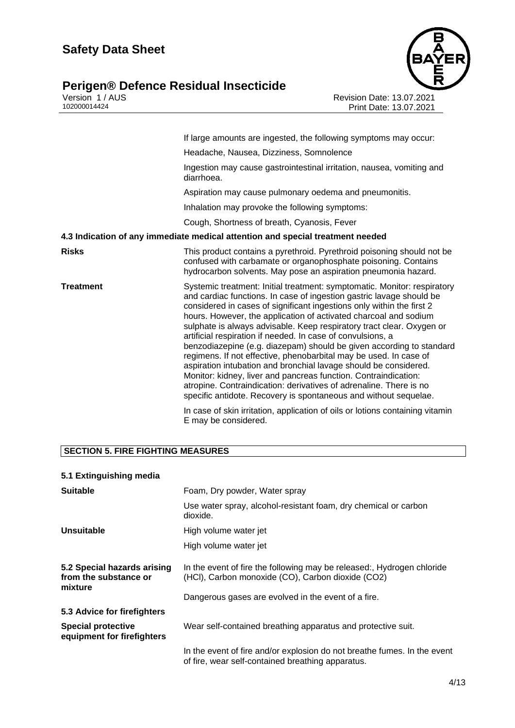# **Perigen® Defence Residual Insecticide A/133**



Version 1 / AUS Revision Date: 13.07.2021 102000014424 Print Date: 13.07.2021

|           | If large amounts are ingested, the following symptoms may occur:                                                                                                                                                                                                                                                                                                                                                                                                                                                                                                                                                                                                                                                                                                                                                                                                    |
|-----------|---------------------------------------------------------------------------------------------------------------------------------------------------------------------------------------------------------------------------------------------------------------------------------------------------------------------------------------------------------------------------------------------------------------------------------------------------------------------------------------------------------------------------------------------------------------------------------------------------------------------------------------------------------------------------------------------------------------------------------------------------------------------------------------------------------------------------------------------------------------------|
|           | Headache, Nausea, Dizziness, Somnolence                                                                                                                                                                                                                                                                                                                                                                                                                                                                                                                                                                                                                                                                                                                                                                                                                             |
|           | Ingestion may cause gastrointestinal irritation, nausea, vomiting and<br>diarrhoea.                                                                                                                                                                                                                                                                                                                                                                                                                                                                                                                                                                                                                                                                                                                                                                                 |
|           | Aspiration may cause pulmonary oedema and pneumonitis.                                                                                                                                                                                                                                                                                                                                                                                                                                                                                                                                                                                                                                                                                                                                                                                                              |
|           | Inhalation may provoke the following symptoms:                                                                                                                                                                                                                                                                                                                                                                                                                                                                                                                                                                                                                                                                                                                                                                                                                      |
|           | Cough, Shortness of breath, Cyanosis, Fever                                                                                                                                                                                                                                                                                                                                                                                                                                                                                                                                                                                                                                                                                                                                                                                                                         |
|           | 4.3 Indication of any immediate medical attention and special treatment needed                                                                                                                                                                                                                                                                                                                                                                                                                                                                                                                                                                                                                                                                                                                                                                                      |
| Risks     | This product contains a pyrethroid. Pyrethroid poisoning should not be<br>confused with carbamate or organophosphate poisoning. Contains<br>hydrocarbon solvents. May pose an aspiration pneumonia hazard.                                                                                                                                                                                                                                                                                                                                                                                                                                                                                                                                                                                                                                                          |
| Treatment | Systemic treatment: Initial treatment: symptomatic. Monitor: respiratory<br>and cardiac functions. In case of ingestion gastric lavage should be<br>considered in cases of significant ingestions only within the first 2<br>hours. However, the application of activated charcoal and sodium<br>sulphate is always advisable. Keep respiratory tract clear. Oxygen or<br>artificial respiration if needed. In case of convulsions, a<br>benzodiazepine (e.g. diazepam) should be given according to standard<br>regimens. If not effective, phenobarbital may be used. In case of<br>aspiration intubation and bronchial lavage should be considered.<br>Monitor: kidney, liver and pancreas function. Contraindication:<br>atropine. Contraindication: derivatives of adrenaline. There is no<br>specific antidote. Recovery is spontaneous and without sequelae. |
|           | In case of skin irritation, application of oils or lotions containing vitamin<br>E may be considered.                                                                                                                                                                                                                                                                                                                                                                                                                                                                                                                                                                                                                                                                                                                                                               |

# **SECTION 5. FIRE FIGHTING MEASURES**

| 5.1 Extinguishing media                                         |                                                                                                                               |
|-----------------------------------------------------------------|-------------------------------------------------------------------------------------------------------------------------------|
| <b>Suitable</b>                                                 | Foam, Dry powder, Water spray                                                                                                 |
|                                                                 | Use water spray, alcohol-resistant foam, dry chemical or carbon<br>dioxide.                                                   |
| Unsuitable                                                      | High volume water jet                                                                                                         |
|                                                                 | High volume water jet                                                                                                         |
| 5.2 Special hazards arising<br>from the substance or<br>mixture | In the event of fire the following may be released:, Hydrogen chloride<br>(HCI), Carbon monoxide (CO), Carbon dioxide (CO2)   |
|                                                                 | Dangerous gases are evolved in the event of a fire.                                                                           |
| 5.3 Advice for firefighters                                     |                                                                                                                               |
| <b>Special protective</b><br>equipment for firefighters         | Wear self-contained breathing apparatus and protective suit.                                                                  |
|                                                                 | In the event of fire and/or explosion do not breathe fumes. In the event<br>of fire, wear self-contained breathing apparatus. |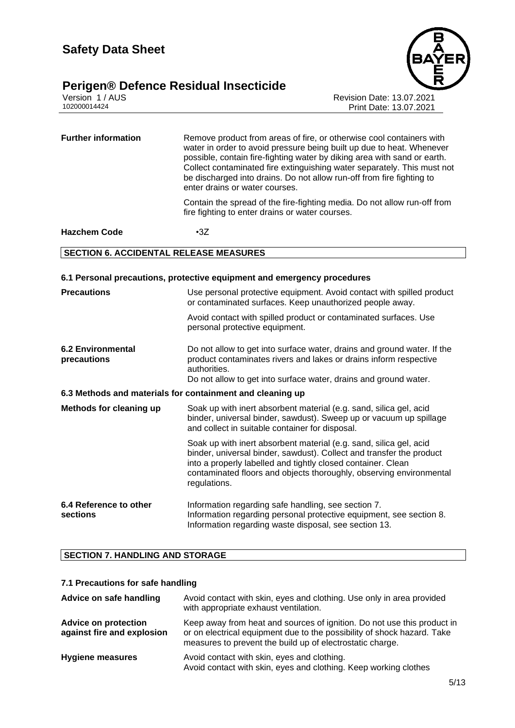

Version 1 / AUS<br>102000014424<br>Print Date: 13.07.2021<br>Print Date: 13.07.2021 Print Date: 13.07.2021

**Further information** Remove product from areas of fire, or otherwise cool containers with water in order to avoid pressure being built up due to heat. Whenever possible, contain fire-fighting water by diking area with sand or earth. Collect contaminated fire extinguishing water separately. This must not be discharged into drains. Do not allow run-off from fire fighting to enter drains or water courses. Contain the spread of the fire-fighting media. Do not allow run-off from fire fighting to enter drains or water courses.

# **Hazchem Code** •3Z

#### **SECTION 6. ACCIDENTAL RELEASE MEASURES**

#### **6.1 Personal precautions, protective equipment and emergency procedures**

| <b>Precautions</b>                                        | Use personal protective equipment. Avoid contact with spilled product<br>or contaminated surfaces. Keep unauthorized people away.<br>Avoid contact with spilled product or contaminated surfaces. Use                                                                                             |  |
|-----------------------------------------------------------|---------------------------------------------------------------------------------------------------------------------------------------------------------------------------------------------------------------------------------------------------------------------------------------------------|--|
|                                                           | personal protective equipment.                                                                                                                                                                                                                                                                    |  |
| <b>6.2 Environmental</b><br>precautions                   | Do not allow to get into surface water, drains and ground water. If the<br>product contaminates rivers and lakes or drains inform respective<br>authorities.<br>Do not allow to get into surface water, drains and ground water.                                                                  |  |
| 6.3 Methods and materials for containment and cleaning up |                                                                                                                                                                                                                                                                                                   |  |
| <b>Methods for cleaning up</b>                            | Soak up with inert absorbent material (e.g. sand, silica gel, acid<br>binder, universal binder, sawdust). Sweep up or vacuum up spillage<br>and collect in suitable container for disposal.                                                                                                       |  |
|                                                           | Soak up with inert absorbent material (e.g. sand, silica gel, acid<br>binder, universal binder, sawdust). Collect and transfer the product<br>into a properly labelled and tightly closed container. Clean<br>contaminated floors and objects thoroughly, observing environmental<br>regulations. |  |
| 6.4 Reference to other<br>sections                        | Information regarding safe handling, see section 7.<br>Information regarding personal protective equipment, see section 8.<br>Information regarding waste disposal, see section 13.                                                                                                               |  |

# **SECTION 7. HANDLING AND STORAGE**

#### **7.1 Precautions for safe handling**

| Advice on safe handling                                   | Avoid contact with skin, eyes and clothing. Use only in area provided<br>with appropriate exhaust ventilation.                                                                                                  |
|-----------------------------------------------------------|-----------------------------------------------------------------------------------------------------------------------------------------------------------------------------------------------------------------|
| <b>Advice on protection</b><br>against fire and explosion | Keep away from heat and sources of ignition. Do not use this product in<br>or on electrical equipment due to the possibility of shock hazard. Take<br>measures to prevent the build up of electrostatic charge. |
| <b>Hygiene measures</b>                                   | Avoid contact with skin, eyes and clothing.<br>Avoid contact with skin, eyes and clothing. Keep working clothes                                                                                                 |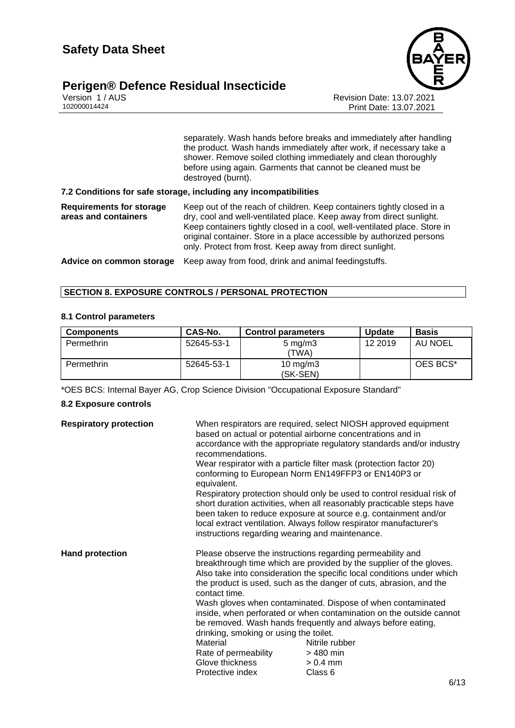

Version 1 / AUS<br>102000014424<br>Print Date: 13.07.2021<br>Print Date: 13.07.2021 Print Date: 13.07.2021

> separately. Wash hands before breaks and immediately after handling the product. Wash hands immediately after work, if necessary take a shower. Remove soiled clothing immediately and clean thoroughly before using again. Garments that cannot be cleaned must be destroyed (burnt).

#### **7.2 Conditions for safe storage, including any incompatibilities**

| Requirements for storage | Keep out of the reach of children. Keep containers tightly closed in a    |
|--------------------------|---------------------------------------------------------------------------|
| areas and containers     | dry, cool and well-ventilated place. Keep away from direct sunlight.      |
|                          | Keep containers tightly closed in a cool, well-ventilated place. Store in |
|                          | original container. Store in a place accessible by authorized persons     |
|                          | only. Protect from frost. Keep away from direct sunlight.                 |
|                          |                                                                           |

**Advice on common storage** Keep away from food, drink and animal feedingstuffs.

## **SECTION 8. EXPOSURE CONTROLS / PERSONAL PROTECTION**

#### **8.1 Control parameters**

| <b>Components</b> | <b>CAS-No.</b> | <b>Control parameters</b>   | <b>Update</b> | <b>Basis</b> |
|-------------------|----------------|-----------------------------|---------------|--------------|
| Permethrin        | 52645-53-1     | $5 \text{ mg/m}$ 3<br>'TWA) | 12 2019       | AU NOEL      |
| Permethrin        | 52645-53-1     | 10 mg/m $3$<br>(SK-SEN)     |               | OES BCS*     |

\*OES BCS: Internal Bayer AG, Crop Science Division "Occupational Exposure Standard"

#### **8.2 Exposure controls**

| <b>Respiratory protection</b> | recommendations.<br>equivalent.<br>instructions regarding wearing and maintenance.                                                 | When respirators are required, select NIOSH approved equipment<br>based on actual or potential airborne concentrations and in<br>accordance with the appropriate regulatory standards and/or industry<br>Wear respirator with a particle filter mask (protection factor 20)<br>conforming to European Norm EN149FFP3 or EN140P3 or<br>Respiratory protection should only be used to control residual risk of<br>short duration activities, when all reasonably practicable steps have<br>been taken to reduce exposure at source e.g. containment and/or<br>local extract ventilation. Always follow respirator manufacturer's |
|-------------------------------|------------------------------------------------------------------------------------------------------------------------------------|--------------------------------------------------------------------------------------------------------------------------------------------------------------------------------------------------------------------------------------------------------------------------------------------------------------------------------------------------------------------------------------------------------------------------------------------------------------------------------------------------------------------------------------------------------------------------------------------------------------------------------|
| <b>Hand protection</b>        | contact time.<br>drinking, smoking or using the toilet.<br>Material<br>Rate of permeability<br>Glove thickness<br>Protective index | Please observe the instructions regarding permeability and<br>breakthrough time which are provided by the supplier of the gloves.<br>Also take into consideration the specific local conditions under which<br>the product is used, such as the danger of cuts, abrasion, and the<br>Wash gloves when contaminated. Dispose of when contaminated<br>inside, when perforated or when contamination on the outside cannot<br>be removed. Wash hands frequently and always before eating,<br>Nitrile rubber<br>> 480 min<br>$> 0.4$ mm<br>Class 6                                                                                 |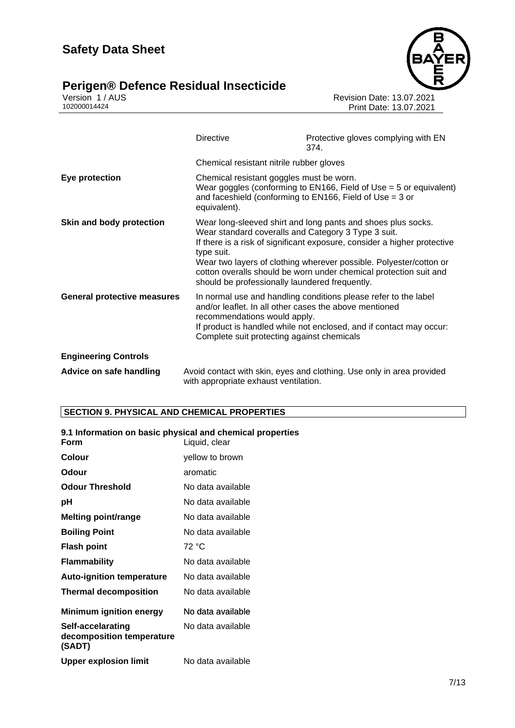# **Perigen® Defence Residual Insecticide Theorem Algebra 1333**





Version 1 / AUS Revision Date: 13.07.2021 102000014424 Print Date: 13.07.2021

|                                    | <b>Directive</b>                                                                                                                     | Protective gloves complying with EN<br>374.                                                                                                                                                                                                                                         |
|------------------------------------|--------------------------------------------------------------------------------------------------------------------------------------|-------------------------------------------------------------------------------------------------------------------------------------------------------------------------------------------------------------------------------------------------------------------------------------|
|                                    | Chemical resistant nitrile rubber gloves                                                                                             |                                                                                                                                                                                                                                                                                     |
| Eye protection                     | Chemical resistant goggles must be worn.<br>equivalent).                                                                             | Wear goggles (conforming to $EN166$ , Field of Use = 5 or equivalent)<br>and faceshield (conforming to $EN166$ , Field of Use = 3 or                                                                                                                                                |
| Skin and body protection           | Wear standard coveralls and Category 3 Type 3 suit.<br>type suit.<br>should be professionally laundered frequently.                  | Wear long-sleeved shirt and long pants and shoes plus socks.<br>If there is a risk of significant exposure, consider a higher protective<br>Wear two layers of clothing wherever possible. Polyester/cotton or<br>cotton overalls should be worn under chemical protection suit and |
| <b>General protective measures</b> | and/or leaflet. In all other cases the above mentioned<br>recommendations would apply.<br>Complete suit protecting against chemicals | In normal use and handling conditions please refer to the label<br>If product is handled while not enclosed, and if contact may occur:                                                                                                                                              |
| <b>Engineering Controls</b>        |                                                                                                                                      |                                                                                                                                                                                                                                                                                     |
| Advice on safe handling            | with appropriate exhaust ventilation.                                                                                                | Avoid contact with skin, eyes and clothing. Use only in area provided                                                                                                                                                                                                               |

# **SECTION 9. PHYSICAL AND CHEMICAL PROPERTIES**

| 9.1 Information on basic physical and chemical properties<br>Form | Liquid, clear     |
|-------------------------------------------------------------------|-------------------|
| <b>Colour</b>                                                     | yellow to brown   |
| Odour                                                             | aromatic          |
| <b>Odour Threshold</b>                                            | No data available |
| рH                                                                | No data available |
| <b>Melting point/range</b>                                        | No data available |
| <b>Boiling Point</b>                                              | No data available |
| <b>Flash point</b>                                                | 72 °C             |
| <b>Flammability</b>                                               | No data available |
| <b>Auto-ignition temperature</b>                                  | No data available |
| <b>Thermal decomposition</b>                                      | No data available |
| <b>Minimum ignition energy</b>                                    | No data available |
| Self-accelarating<br>decomposition temperature<br>(SADT)          | No data available |
| Upper explosion limit                                             | No data available |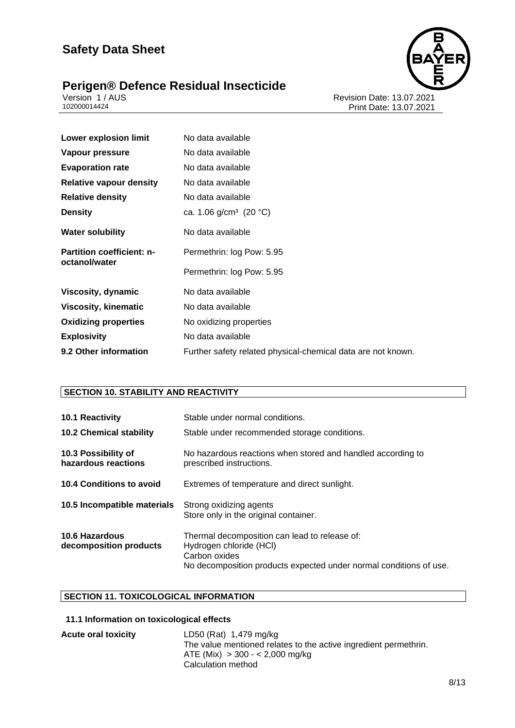



Version 1 / AUS Revision Date: 13.07.2021 102000014424 Print Date: 13.07.2021

| <b>Lower explosion limit</b>     | No data available                                            |
|----------------------------------|--------------------------------------------------------------|
| Vapour pressure                  | No data available                                            |
| <b>Evaporation rate</b>          | No data available                                            |
| <b>Relative vapour density</b>   | No data available                                            |
| <b>Relative density</b>          | No data available                                            |
| <b>Density</b>                   | ca. 1.06 g/cm <sup>3</sup> (20 °C)                           |
| <b>Water solubility</b>          | No data available                                            |
| <b>Partition coefficient: n-</b> | Permethrin: log Pow: 5.95                                    |
| octanol/water                    | Permethrin: log Pow: 5.95                                    |
| Viscosity, dynamic               | No data available                                            |
| <b>Viscosity, kinematic</b>      | No data available                                            |
| <b>Oxidizing properties</b>      | No oxidizing properties                                      |
| <b>Explosivity</b>               | No data available                                            |
| 9.2 Other information            | Further safety related physical-chemical data are not known. |

# **SECTION 10. STABILITY AND REACTIVITY**

| 10.1 Reactivity<br><b>10.2 Chemical stability</b> | Stable under normal conditions.<br>Stable under recommended storage conditions.                                                                                 |
|---------------------------------------------------|-----------------------------------------------------------------------------------------------------------------------------------------------------------------|
| 10.3 Possibility of<br>hazardous reactions        | No hazardous reactions when stored and handled according to<br>prescribed instructions.                                                                         |
| 10.4 Conditions to avoid                          | Extremes of temperature and direct sunlight.                                                                                                                    |
| 10.5 Incompatible materials                       | Strong oxidizing agents<br>Store only in the original container.                                                                                                |
| <b>10.6 Hazardous</b><br>decomposition products   | Thermal decomposition can lead to release of:<br>Hydrogen chloride (HCI)<br>Carbon oxides<br>No decomposition products expected under normal conditions of use. |

# **SECTION 11. TOXICOLOGICAL INFORMATION**

# **11.1 Information on toxicological effects**

| <b>Acute oral toxicity</b> | LD50 (Rat) 1,479 mg/kg                                           |
|----------------------------|------------------------------------------------------------------|
|                            | The value mentioned relates to the active ingredient permethrin. |
|                            | $ATE (Mix) > 300 - < 2,000 mg/kg$                                |
|                            | Calculation method                                               |
|                            |                                                                  |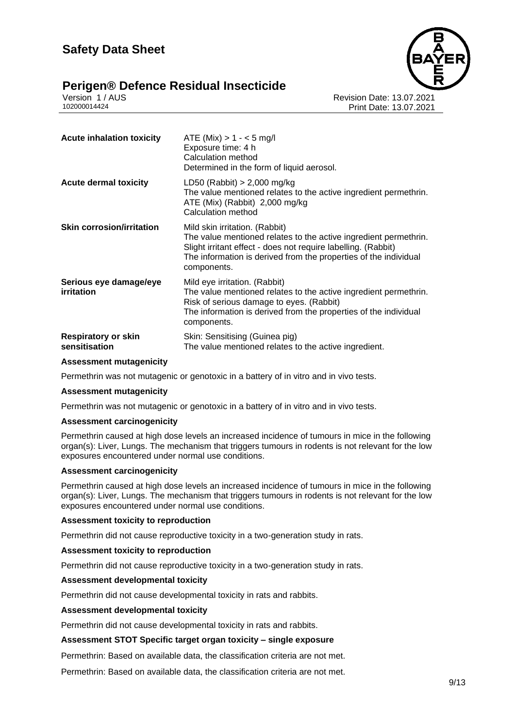





Version 1 / AUS Revision Date: 13.07.2021 Print Date: 13.07.2021

| <b>Acute inhalation toxicity</b>            | $ATE (Mix) > 1 - < 5 mg/l$<br>Exposure time: 4 h<br>Calculation method<br>Determined in the form of liquid aerosol.                                                                                                                                    |
|---------------------------------------------|--------------------------------------------------------------------------------------------------------------------------------------------------------------------------------------------------------------------------------------------------------|
| <b>Acute dermal toxicity</b>                | LD50 (Rabbit) $> 2,000$ mg/kg<br>The value mentioned relates to the active ingredient permethrin.<br>ATE (Mix) (Rabbit) 2,000 mg/kg<br>Calculation method                                                                                              |
| <b>Skin corrosion/irritation</b>            | Mild skin irritation. (Rabbit)<br>The value mentioned relates to the active ingredient permethrin.<br>Slight irritant effect - does not require labelling. (Rabbit)<br>The information is derived from the properties of the individual<br>components. |
| Serious eye damage/eye<br><i>irritation</i> | Mild eye irritation. (Rabbit)<br>The value mentioned relates to the active ingredient permethrin.<br>Risk of serious damage to eyes. (Rabbit)<br>The information is derived from the properties of the individual<br>components.                       |
| <b>Respiratory or skin</b><br>sensitisation | Skin: Sensitising (Guinea pig)<br>The value mentioned relates to the active ingredient.                                                                                                                                                                |

#### **Assessment mutagenicity**

Permethrin was not mutagenic or genotoxic in a battery of in vitro and in vivo tests.

#### **Assessment mutagenicity**

Permethrin was not mutagenic or genotoxic in a battery of in vitro and in vivo tests.

## **Assessment carcinogenicity**

Permethrin caused at high dose levels an increased incidence of tumours in mice in the following organ(s): Liver, Lungs. The mechanism that triggers tumours in rodents is not relevant for the low exposures encountered under normal use conditions.

#### **Assessment carcinogenicity**

Permethrin caused at high dose levels an increased incidence of tumours in mice in the following organ(s): Liver, Lungs. The mechanism that triggers tumours in rodents is not relevant for the low exposures encountered under normal use conditions.

#### **Assessment toxicity to reproduction**

Permethrin did not cause reproductive toxicity in a two-generation study in rats.

#### **Assessment toxicity to reproduction**

Permethrin did not cause reproductive toxicity in a two-generation study in rats.

## **Assessment developmental toxicity**

Permethrin did not cause developmental toxicity in rats and rabbits.

#### **Assessment developmental toxicity**

Permethrin did not cause developmental toxicity in rats and rabbits.

#### **Assessment STOT Specific target organ toxicity – single exposure**

Permethrin: Based on available data, the classification criteria are not met.

Permethrin: Based on available data, the classification criteria are not met.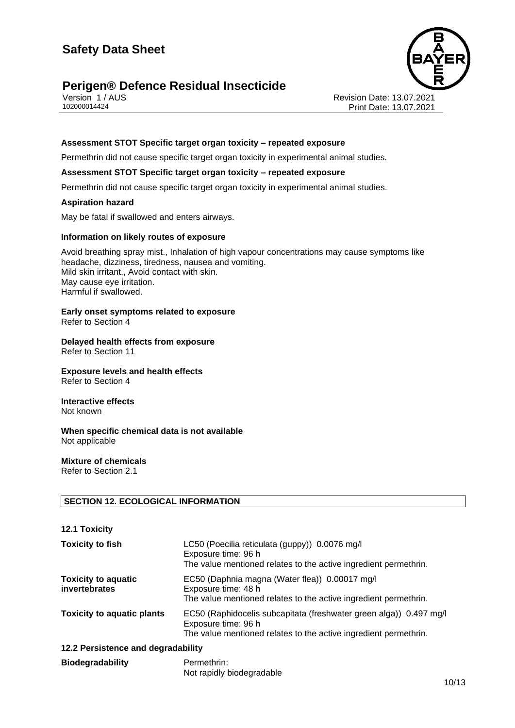# **Perigen® Defence Residual Insecticide**





Version 1 / AUS Revision Date: 13.07.2021 Print Date: 13.07.2021

## **Assessment STOT Specific target organ toxicity – repeated exposure**

Permethrin did not cause specific target organ toxicity in experimental animal studies.

#### **Assessment STOT Specific target organ toxicity – repeated exposure**

Permethrin did not cause specific target organ toxicity in experimental animal studies.

#### **Aspiration hazard**

May be fatal if swallowed and enters airways.

#### **Information on likely routes of exposure**

Avoid breathing spray mist., Inhalation of high vapour concentrations may cause symptoms like headache, dizziness, tiredness, nausea and vomiting. Mild skin irritant., Avoid contact with skin. May cause eye irritation. Harmful if swallowed.

# **Early onset symptoms related to exposure**

Refer to Section 4

#### **Delayed health effects from exposure** Refer to Section 11

**Exposure levels and health effects** Refer to Section 4

#### **Interactive effects** Not known

**When specific chemical data is not available** Not applicable

#### **Mixture of chemicals** Refer to Section 2.1

## **SECTION 12. ECOLOGICAL INFORMATION**

| <b>12.1 Toxicity</b>                        |                                                                                                                                                               |
|---------------------------------------------|---------------------------------------------------------------------------------------------------------------------------------------------------------------|
| <b>Toxicity to fish</b>                     | LC50 (Poecilia reticulata (guppy)) 0.0076 mg/l<br>Exposure time: 96 h<br>The value mentioned relates to the active ingredient permethrin.                     |
| <b>Toxicity to aquatic</b><br>invertebrates | EC50 (Daphnia magna (Water flea)) 0.00017 mg/l<br>Exposure time: 48 h<br>The value mentioned relates to the active ingredient permethrin.                     |
| <b>Toxicity to aquatic plants</b>           | EC50 (Raphidocelis subcapitata (freshwater green alga)) 0.497 mg/l<br>Exposure time: 96 h<br>The value mentioned relates to the active ingredient permethrin. |
| 12.2 Persistence and degradability          |                                                                                                                                                               |
| <b>Biodegradability</b>                     | Permethrin:<br>Not rapidly biodegradable                                                                                                                      |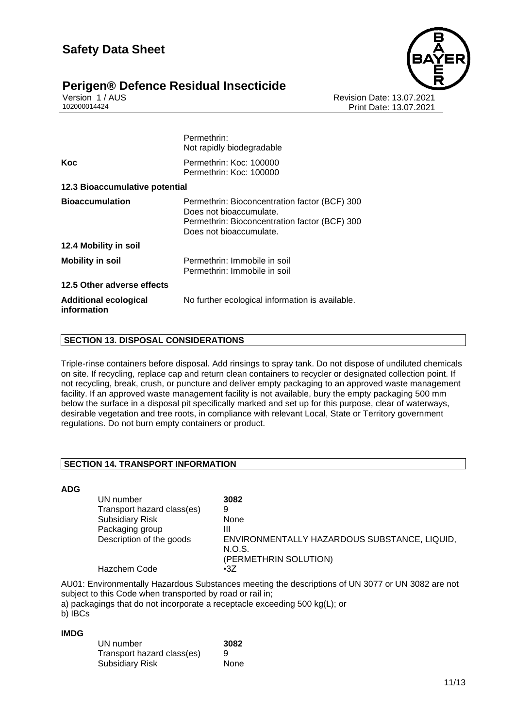

# **Perigen® Defence Residual Insecticide**

Version 1 / AUS Revision Date: 13.07.2021 Print Date: 13.07.2021

|                                             | Permethrin:<br>Not rapidly biodegradable                                                                                                             |
|---------------------------------------------|------------------------------------------------------------------------------------------------------------------------------------------------------|
| Koc                                         | Permethrin: Koc: 100000<br>Permethrin: Koc: 100000                                                                                                   |
| 12.3 Bioaccumulative potential              |                                                                                                                                                      |
| <b>Bioaccumulation</b>                      | Permethrin: Bioconcentration factor (BCF) 300<br>Does not bioaccumulate.<br>Permethrin: Bioconcentration factor (BCF) 300<br>Does not bioaccumulate. |
| 12.4 Mobility in soil                       |                                                                                                                                                      |
| <b>Mobility in soil</b>                     | Permethrin: Immobile in soil<br>Permethrin: Immobile in soil                                                                                         |
| 12.5 Other adverse effects                  |                                                                                                                                                      |
| <b>Additional ecological</b><br>information | No further ecological information is available.                                                                                                      |

# **SECTION 13. DISPOSAL CONSIDERATIONS**

Triple-rinse containers before disposal. Add rinsings to spray tank. Do not dispose of undiluted chemicals on site. If recycling, replace cap and return clean containers to recycler or designated collection point. If not recycling, break, crush, or puncture and deliver empty packaging to an approved waste management facility. If an approved waste management facility is not available, bury the empty packaging 500 mm below the surface in a disposal pit specifically marked and set up for this purpose, clear of waterways, desirable vegetation and tree roots, in compliance with relevant Local, State or Territory government regulations. Do not burn empty containers or product.

# **SECTION 14. TRANSPORT INFORMATION**

## **ADG**

| UN number                  | 3082                                                                            |
|----------------------------|---------------------------------------------------------------------------------|
| Transport hazard class(es) | 9                                                                               |
| <b>Subsidiary Risk</b>     | None                                                                            |
| Packaging group            | Ш                                                                               |
| Description of the goods   | ENVIRONMENTALLY HAZARDOUS SUBSTANCE, LIQUID,<br>N.O.S.<br>(PERMETHRIN SOLUTION) |
| <b>Hazchem Code</b>        | $\cdot 37$                                                                      |

AU01: Environmentally Hazardous Substances meeting the descriptions of UN 3077 or UN 3082 are not subject to this Code when transported by road or rail in;

a) packagings that do not incorporate a receptacle exceeding 500 kg(L); or

b) IBCs

#### **IMDG**

| UN number                  | 3082 |
|----------------------------|------|
| Transport hazard class(es) | 9    |
| <b>Subsidiary Risk</b>     | None |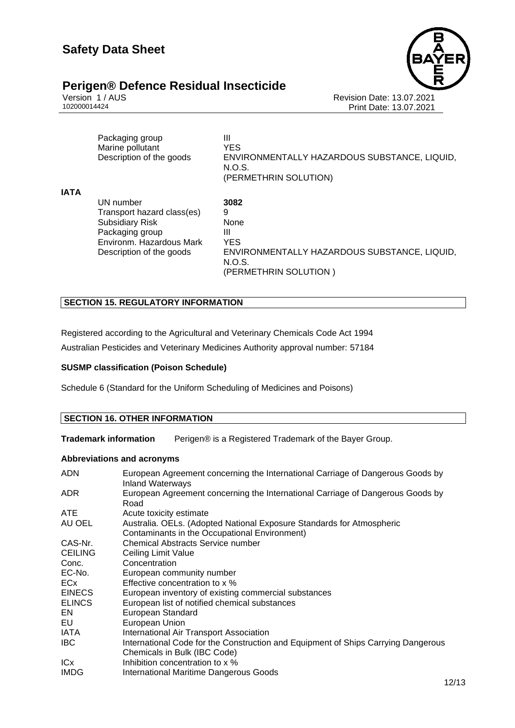

Version 1 / AUS<br>102000014424<br>Print Date: 13.07.2021<br>Revision Date: 13.07.2021 Print Date: 13.07.2021

|             | Packaging group<br>Marine pollutant<br>Description of the goods                                                                              | Ш<br><b>YES</b><br>ENVIRONMENTALLY HAZARDOUS SUBSTANCE, LIQUID,<br>N.O.S.<br>(PERMETHRIN SOLUTION)                      |
|-------------|----------------------------------------------------------------------------------------------------------------------------------------------|-------------------------------------------------------------------------------------------------------------------------|
| <b>IATA</b> | UN number<br>Transport hazard class(es)<br><b>Subsidiary Risk</b><br>Packaging group<br>Environm. Hazardous Mark<br>Description of the goods | 3082<br>9<br>None<br>Ш<br><b>YES</b><br>ENVIRONMENTALLY HAZARDOUS SUBSTANCE, LIQUID,<br>N.O.S.<br>(PERMETHRIN SOLUTION) |

# **SECTION 15. REGULATORY INFORMATION**

Registered according to the Agricultural and Veterinary Chemicals Code Act 1994

Australian Pesticides and Veterinary Medicines Authority approval number: 57184

# **SUSMP classification (Poison Schedule)**

Schedule 6 (Standard for the Uniform Scheduling of Medicines and Poisons)

## **SECTION 16. OTHER INFORMATION**

**Trademark information** Perigen® is a Registered Trademark of the Bayer Group.

# **Abbreviations and acronyms**

| <b>ADN</b>      | European Agreement concerning the International Carriage of Dangerous Goods by<br><b>Inland Waterways</b>              |
|-----------------|------------------------------------------------------------------------------------------------------------------------|
| ADR.            | European Agreement concerning the International Carriage of Dangerous Goods by<br>Road                                 |
| ATE             | Acute toxicity estimate                                                                                                |
| AU OEL          | Australia. OELs. (Adopted National Exposure Standards for Atmospheric<br>Contaminants in the Occupational Environment) |
| CAS-Nr.         | <b>Chemical Abstracts Service number</b>                                                                               |
| <b>CEILING</b>  | Ceiling Limit Value                                                                                                    |
| Conc.           | Concentration                                                                                                          |
| EC-No.          | European community number                                                                                              |
| ECx             | Effective concentration to x %                                                                                         |
| <b>EINECS</b>   | European inventory of existing commercial substances                                                                   |
| <b>ELINCS</b>   | European list of notified chemical substances                                                                          |
| EN              | <b>European Standard</b>                                                                                               |
| EU              | European Union                                                                                                         |
| IATA            | International Air Transport Association                                                                                |
| IBC.            | International Code for the Construction and Equipment of Ships Carrying Dangerous<br>Chemicals in Bulk (IBC Code)      |
| IC <sub>x</sub> | Inhibition concentration to x %                                                                                        |
| <b>IMDG</b>     | <b>International Maritime Dangerous Goods</b>                                                                          |